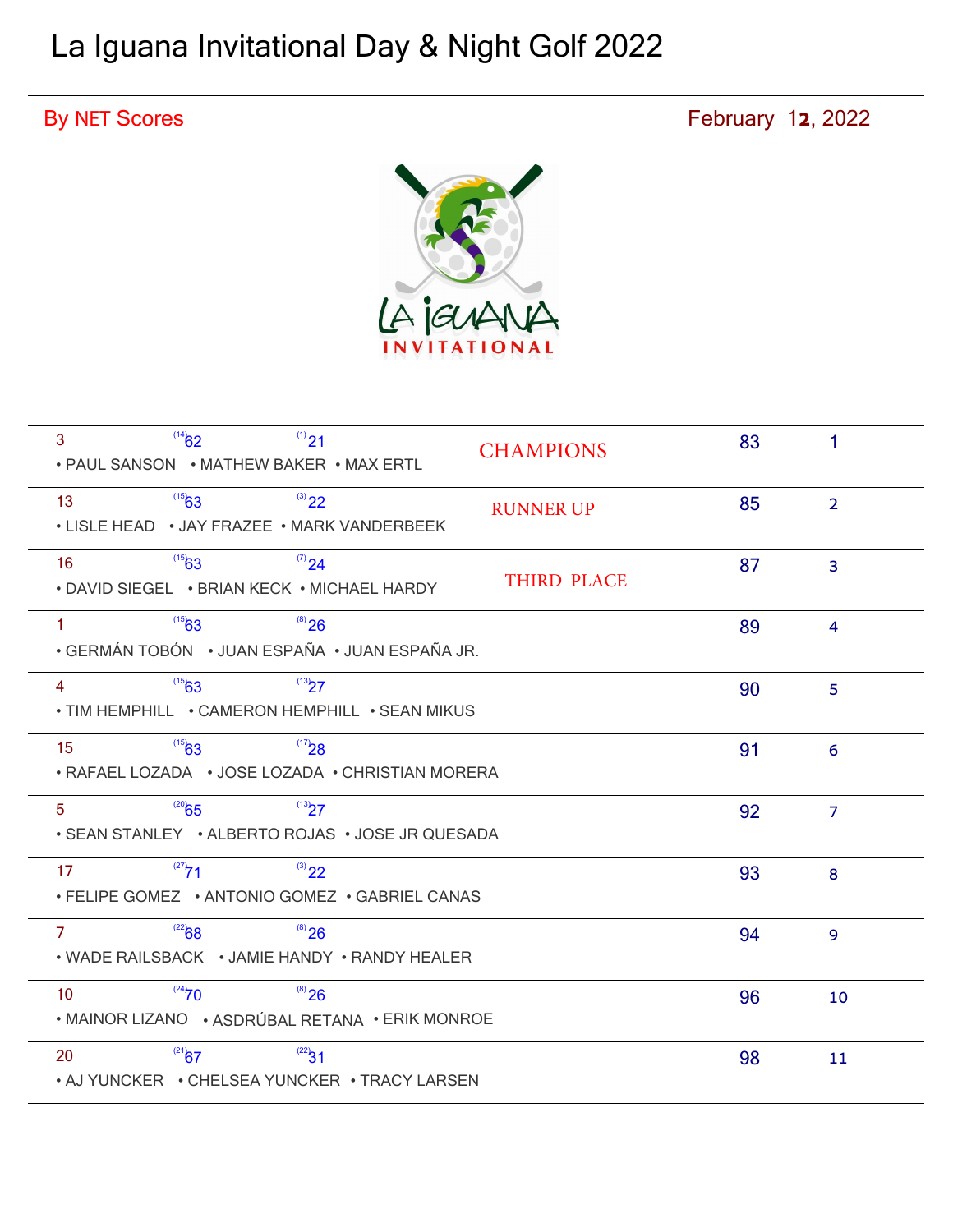# La Iguana Invitational Day & Night Golf 2022

## By NET Scores **February 12, 2022**



| $^{(14)}\text{62}$<br>$(1)$ 21<br>3<br>• PAUL SANSON • MATHEW BAKER • MAX ERTL                   | <b>CHAMPIONS</b>   | 83 | 1              |
|--------------------------------------------------------------------------------------------------|--------------------|----|----------------|
| $^{(3)}22$<br>$^{(15)}63$<br>13<br>• LISLE HEAD • JAY FRAZEE • MARK VANDERBEEK                   | <b>RUNNER UP</b>   | 85 | $\overline{2}$ |
| $^{(15)}63$<br>$^{(7)}24$<br>16<br>• DAVID SIEGEL • BRIAN KECK • MICHAEL HARDY                   | <b>THIRD PLACE</b> | 87 | 3              |
| $^{(15)}63$<br>$^{(8)}$ 26<br>$\mathbf{1}$<br>• GERMÁN TOBÓN • JUAN ESPAÑA • JUAN ESPAÑA JR.     |                    | 89 | $\overline{4}$ |
| $^{(15)}63$<br>(13)27<br>4<br>• TIM HEMPHILL • CAMERON HEMPHILL • SEAN MIKUS                     |                    | 90 | 5              |
| $^{(17)}28$<br>$^{(15)}63$<br>15<br>• RAFAEL LOZADA • JOSE LOZADA • CHRISTIAN MORERA             |                    | 91 | 6              |
| $^{(20)}65$<br>(13)7<br>5 <sup>5</sup><br>• SEAN STANLEY • ALBERTO ROJAS • JOSE JR QUESADA       |                    | 92 | $\overline{7}$ |
| $(27)$ 71<br>$^{(3)}22$<br>17<br>• FELIPE GOMEZ • ANTONIO GOMEZ • GABRIEL CANAS                  |                    | 93 | 8              |
| $^{(22)}68$<br>$^{(8)}$ 26<br>$\mathbf{7}$<br>• WADE RAILSBACK • JAMIE HANDY • RANDY HEALER      |                    | 94 | 9              |
| $^{(24)}70$<br>$^{(8)}$ 26<br>10 <sup>°</sup><br>• MAINOR LIZANO • ASDRÚBAL RETANA • ERIK MONROE |                    | 96 | 10             |
| $^{(21)}\!\!67$<br>$^{(22)}31$<br>20<br>• AJ YUNCKER • CHELSEA YUNCKER • TRACY LARSEN            |                    | 98 | 11             |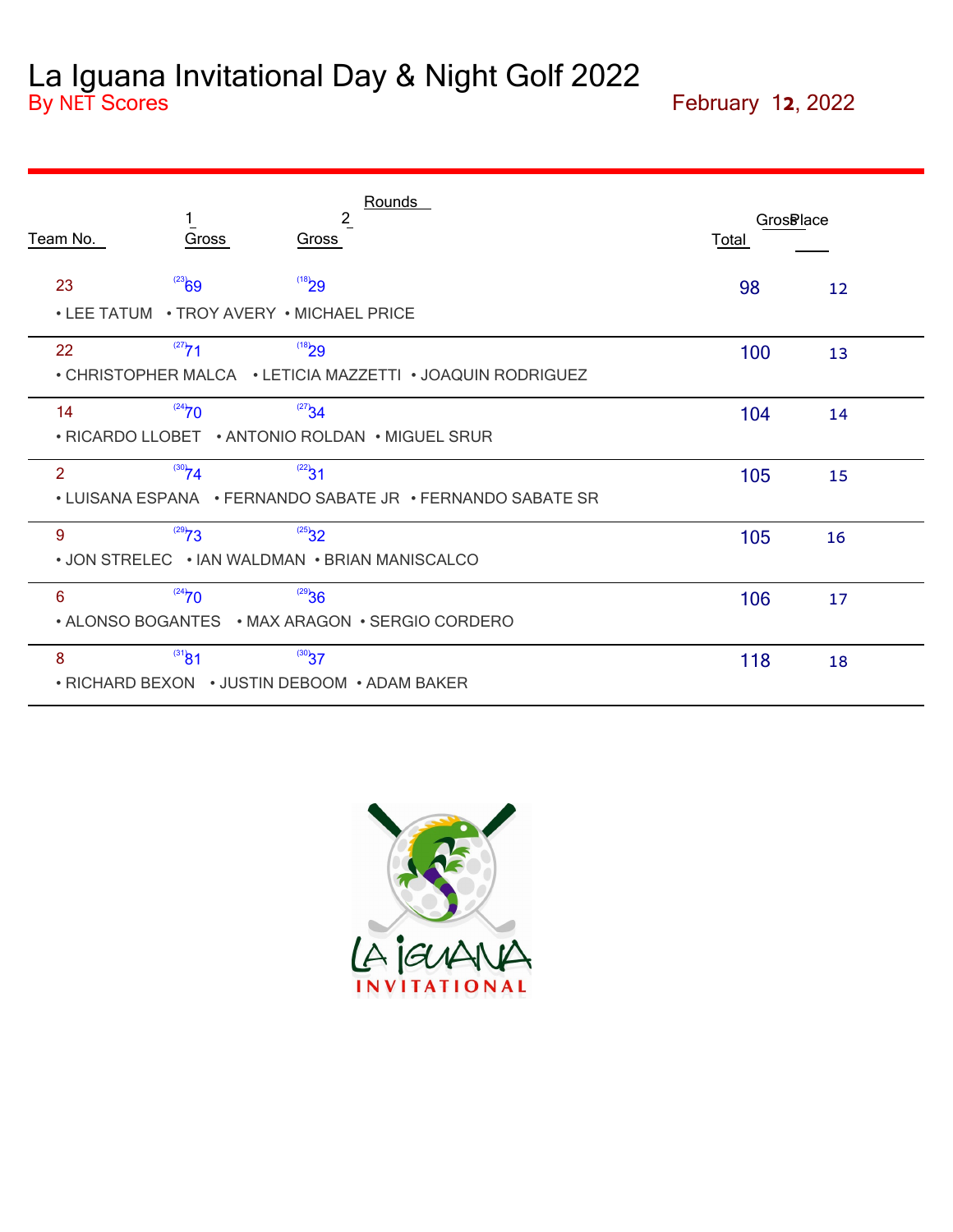### La Iguana Invitational Day & Night Golf 2022 By NET Scores **February 12, 2022**

| Team No.                                 | Gross                                                              | $\frac{2}{2}$<br>Gross                      | Rounds                                                     | <b>GrosBlace</b><br><b>Total</b> |    |
|------------------------------------------|--------------------------------------------------------------------|---------------------------------------------|------------------------------------------------------------|----------------------------------|----|
| 23<br>$\overline{\phantom{a}}$ LEE TATUM | $^{(23)}69$                                                        | $^{(18)}29$<br>• TROY AVERY • MICHAEL PRICE |                                                            | 98                               | 12 |
| 22                                       | $^{(27)}$ 71                                                       | $^{(18)}29$                                 | • CHRISTOPHER MALCA • LETICIA MAZZETTI • JOAQUIN RODRIGUEZ | 100                              | 13 |
| 14                                       | $^{(24)}70$                                                        | $^{(27)}34$                                 | • RICARDO LLOBET • ANTONIO ROLDAN • MIGUEL SRUR            | 104                              | 14 |
| 2                                        | $^{(30)}74$                                                        | $^{(22)}31$                                 | • LUISANA ESPANA • FERNANDO SABATE JR • FERNANDO SABATE SR | 105                              | 15 |
| 9                                        | $^{(29)}Z3$<br>• JON STRELEC • IAN WALDMAN • BRIAN MANISCALCO      | $^{(25)}$ 32                                |                                                            | 105                              | 16 |
| 6                                        | $^{(24)}70$                                                        | 36                                          | • ALONSO BOGANTES • MAX ARAGON • SERGIO CORDERO            | 106                              | 17 |
| 8                                        | $^{(31)}\text{81}$<br>• RICHARD BEXON • JUSTIN DEBOOM • ADAM BAKER | $^{(30)}37$                                 |                                                            | 118                              | 18 |

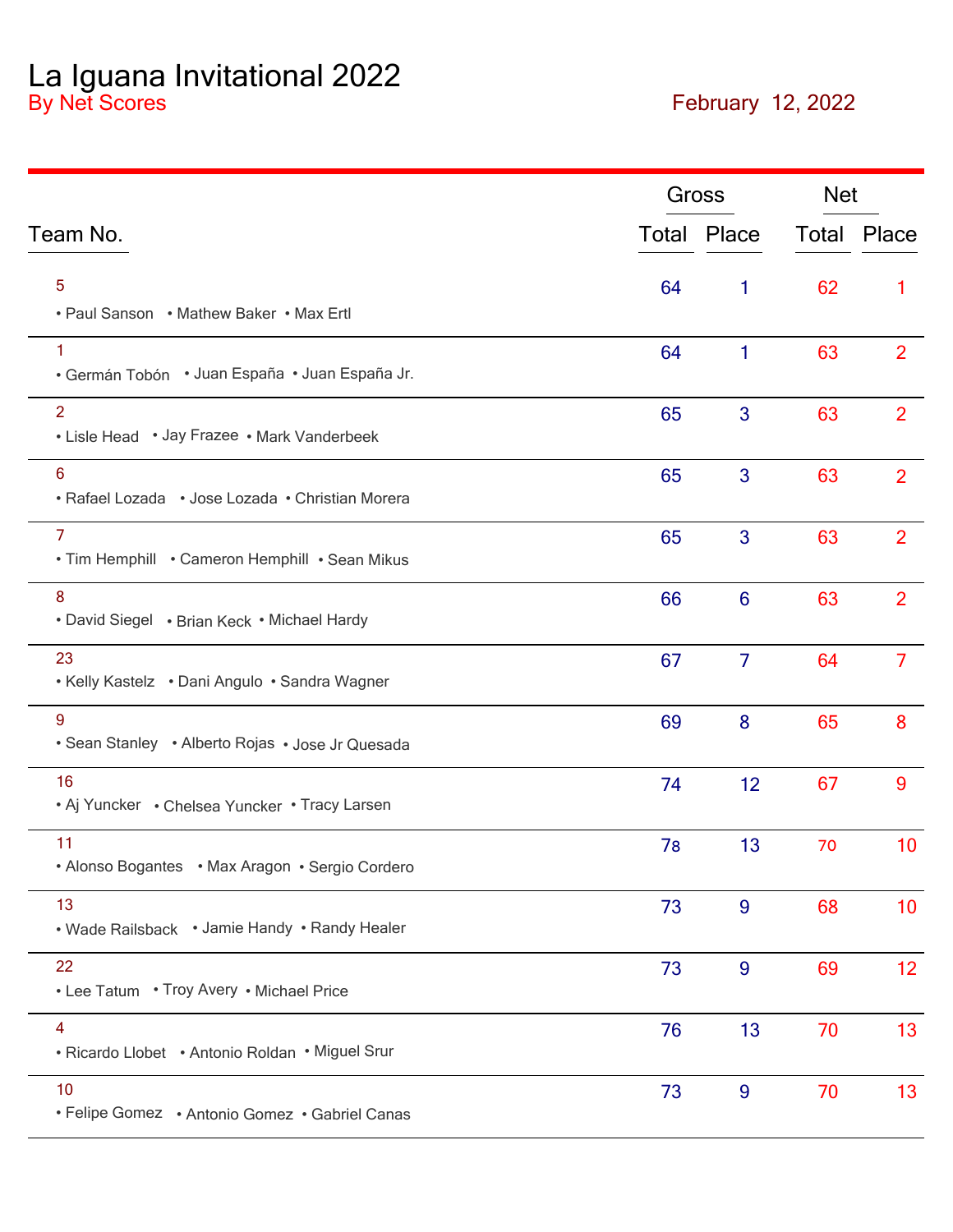La Iguana Invitational 2022 By Net Scores **February 12, 2022**

|                                                                   |    | Gross              | <b>Net</b> |                    |
|-------------------------------------------------------------------|----|--------------------|------------|--------------------|
| Team No.                                                          |    | <b>Total Place</b> |            | <b>Total Place</b> |
| 5<br>• Paul Sanson • Mathew Baker • Max Ertl                      | 64 | 1                  | 62         | 1                  |
| 1<br>· Germán Tobón · Juan España · Juan España Jr.               | 64 | 1                  | 63         | 2                  |
| $\overline{2}$<br>• Lisle Head • Jay Frazee • Mark Vanderbeek     | 65 | 3                  | 63         | $\overline{2}$     |
| 6<br>· Rafael Lozada · Jose Lozada · Christian Morera             | 65 | 3                  | 63         | $\overline{2}$     |
| $\overline{7}$<br>. Tim Hemphill . Cameron Hemphill . Sean Mikus  | 65 | 3                  | 63         | $\overline{2}$     |
| $\boldsymbol{8}$<br>• David Siegel • Brian Keck • Michael Hardy   | 66 | $6\phantom{1}6$    | 63         | $\overline{2}$     |
| 23<br>• Kelly Kastelz • Dani Angulo • Sandra Wagner               | 67 | $\overline{7}$     | 64         | $\overline{7}$     |
| 9<br>• Sean Stanley • Alberto Rojas • Jose Jr Quesada             | 69 | 8                  | 65         | 8                  |
| 16<br>• Aj Yuncker • Chelsea Yuncker • Tracy Larsen               | 74 | 12                 | 67         | 9                  |
| 11<br>• Alonso Bogantes • Max Aragon • Sergio Cordero             | 78 | 13                 | 70         | 10                 |
| 13<br>• Wade Railsback • Jamie Handy • Randy Healer               | 73 | $\overline{9}$     | 68         | 10                 |
| 22<br>• Lee Tatum • Troy Avery • Michael Price                    | 73 | $\overline{9}$     | 69         | 12 <sub>2</sub>    |
| $\overline{4}$<br>• Ricardo Llobet • Antonio Roldan • Miguel Srur | 76 | 13                 | 70         | 13                 |
| 10<br>• Felipe Gomez • Antonio Gomez • Gabriel Canas              | 73 | 9                  | 70         | 13                 |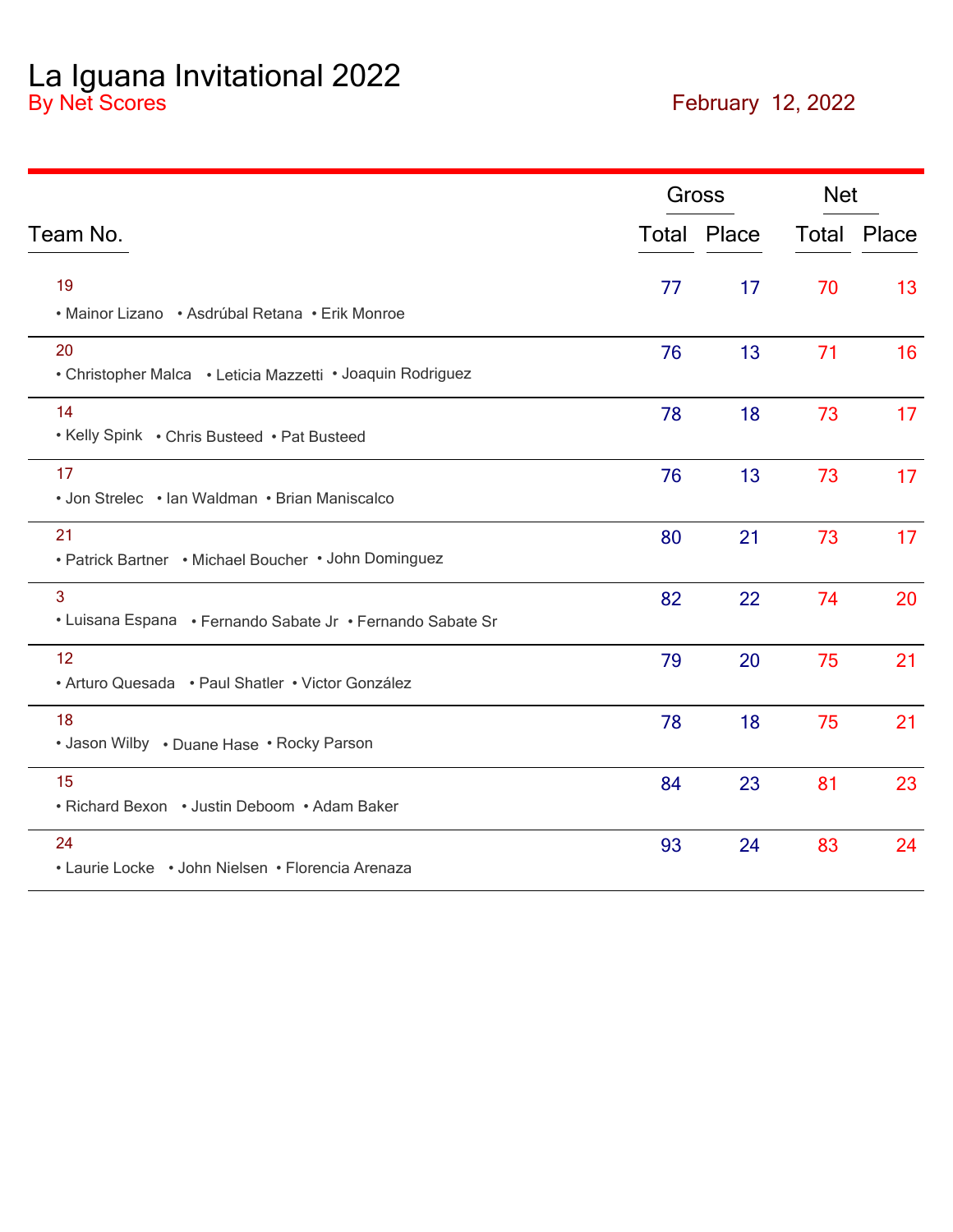La Iguana Invitational 2022 By Net Scores **February 12, 2022**

|                                                                  |    | <b>Gross</b>       | <b>Net</b> |                    |
|------------------------------------------------------------------|----|--------------------|------------|--------------------|
| Team No.                                                         |    | <b>Total Place</b> |            | <b>Total Place</b> |
| 19<br>• Mainor Lizano • Asdrúbal Retana • Erik Monroe            | 77 | 17                 | 70         | 13                 |
| 20<br>• Christopher Malca • Leticia Mazzetti • Joaquin Rodriguez | 76 | 13                 | 71         | 16                 |
| 14<br>• Kelly Spink • Chris Busteed • Pat Busteed                | 78 | 18                 | 73         | 17                 |
| 17<br>• Jon Strelec • Ian Waldman • Brian Maniscalco             | 76 | 13                 | 73         | 17                 |
| 21<br>• Patrick Bartner • Michael Boucher • John Dominguez       | 80 | 21                 | 73         | 17                 |
| 3<br>• Luisana Espana • Fernando Sabate Jr • Fernando Sabate Sr  | 82 | 22                 | 74         | 20                 |
| 12<br>• Arturo Quesada • Paul Shatler • Victor González          | 79 | 20                 | 75         | 21                 |
| 18<br>• Jason Wilby • Duane Hase • Rocky Parson                  | 78 | 18                 | 75         | 21                 |
| 15<br>• Richard Bexon • Justin Deboom • Adam Baker               | 84 | 23                 | 81         | 23                 |
| 24<br>• Laurie Locke • John Nielsen • Florencia Arenaza          | 93 | 24                 | 83         | 24                 |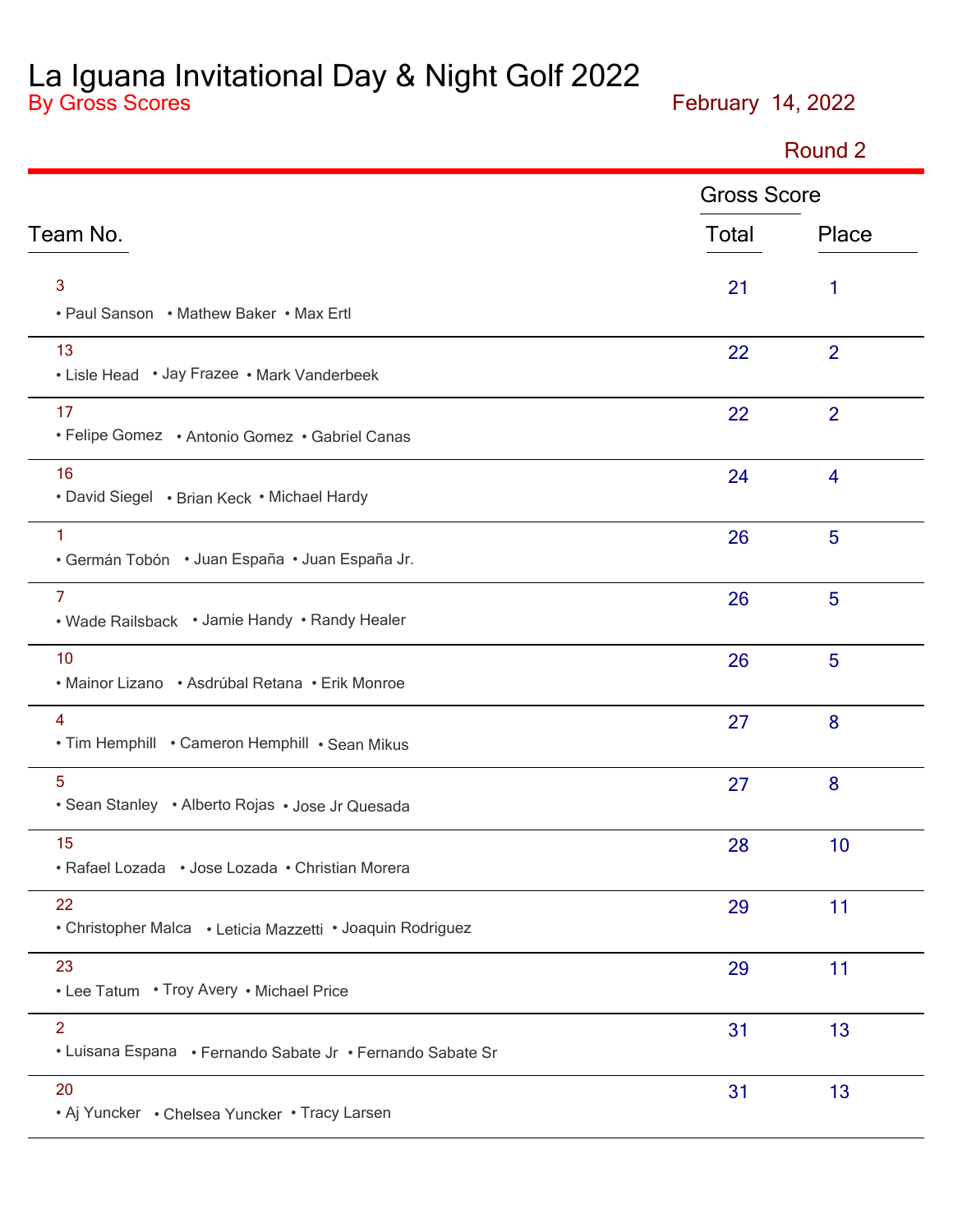La Iguana Invitational Day & Night Golf 2022 By Gross Scores **February 14, 2022**

Round 2

|                                                                              | <b>Gross Score</b> |                |
|------------------------------------------------------------------------------|--------------------|----------------|
| Team No.                                                                     | Total              | Place          |
| 3<br>• Paul Sanson • Mathew Baker • Max Ertl                                 | 21                 | 1              |
| 13<br>• Lisle Head • Jay Frazee • Mark Vanderbeek                            | 22                 | $\overline{2}$ |
| 17<br>• Felipe Gomez • Antonio Gomez • Gabriel Canas                         | 22                 | $\overline{2}$ |
| 16<br>• David Siegel • Brian Keck • Michael Hardy                            | 24                 | $\overline{4}$ |
| 1<br>• Germán Tobón • Juan España • Juan España Jr.                          | 26                 | 5              |
| $\overline{7}$<br>• Wade Railsback • Jamie Handy • Randy Healer              | 26                 | 5              |
| 10<br>• Mainor Lizano • Asdrúbal Retana • Erik Monroe                        | 26                 | 5              |
| $\overline{4}$<br>. Tim Hemphill . Cameron Hemphill . Sean Mikus             | 27                 | 8              |
| $5\phantom{.0}$<br>• Sean Stanley • Alberto Rojas • Jose Jr Quesada          | 27                 | 8              |
| 15<br>• Rafael Lozada • Jose Lozada • Christian Morera                       | 28                 | 10             |
| 22<br>• Christopher Malca • Leticia Mazzetti • Joaquin Rodriguez             | 29                 | 11             |
| 23<br>• Lee Tatum • Troy Avery • Michael Price                               | 29                 | 11             |
| $\overline{2}$<br>• Luisana Espana • Fernando Sabate Jr • Fernando Sabate Sr | 31                 | 13             |
| 20<br>• Aj Yuncker • Chelsea Yuncker • Tracy Larsen                          | 31                 | 13             |